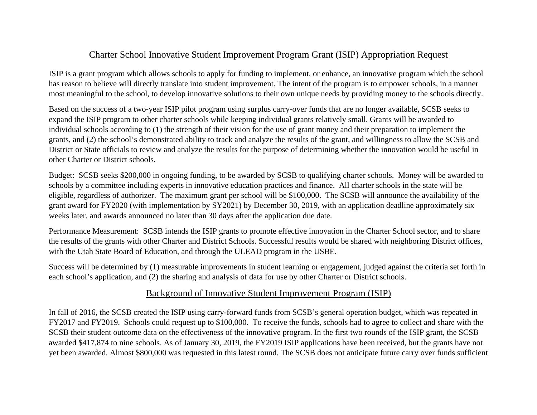## Charter School Innovative Student Improvement Program Grant (ISIP) Appropriation Request

ISIP is a grant program which allows schools to apply for funding to implement, or enhance, an innovative program which the school has reason to believe will directly translate into student improvement. The intent of the program is to empower schools, in a manner most meaningful to the school, to develop innovative solutions to their own unique needs by providing money to the schools directly.

Based on the success of a two-year ISIP pilot program using surplus carry-over funds that are no longer available, SCSB seeks to expand the ISIP program to other charter schools while keeping individual grants relatively small. Grants will be awarded to individual schools according to (1) the strength of their vision for the use of grant money and their preparation to implement the grants, and (2) the school's demonstrated ability to track and analyze the results of the grant, and willingness to allow the SCSB and District or State officials to review and analyze the results for the purpose of determining whether the innovation would be useful in other Charter or District schools.

Budget: SCSB seeks \$200,000 in ongoing funding, to be awarded by SCSB to qualifying charter schools. Money will be awarded to schools by a committee including experts in innovative education practices and finance. All charter schools in the state will be eligible, regardless of authorizer. The maximum grant per school will be \$100,000. The SCSB will announce the availability of the grant award for FY2020 (with implementation by SY2021) by December 30, 2019, with an application deadline approximately six weeks later, and awards announced no later than 30 days after the application due date.

Performance Measurement: SCSB intends the ISIP grants to promote effective innovation in the Charter School sector, and to share the results of the grants with other Charter and District Schools. Successful results would be shared with neighboring District offices, with the Utah State Board of Education, and through the ULEAD program in the USBE.

Success will be determined by (1) measurable improvements in student learning or engagement, judged against the criteria set forth in each school's application, and (2) the sharing and analysis of data for use by other Charter or District schools.

## Background of Innovative Student Improvement Program (ISIP)

In fall of 2016, the SCSB created the ISIP using carry-forward funds from SCSB's general operation budget, which was repeated in FY2017 and FY2019. Schools could request up to \$100,000. To receive the funds, schools had to agree to collect and share with the SCSB their student outcome data on the effectiveness of the innovative program. In the first two rounds of the ISIP grant, the SCSB awarded \$417,874 to nine schools. As of January 30, 2019, the FY2019 ISIP applications have been received, but the grants have not yet been awarded. Almost \$800,000 was requested in this latest round. The SCSB does not anticipate future carry over funds sufficient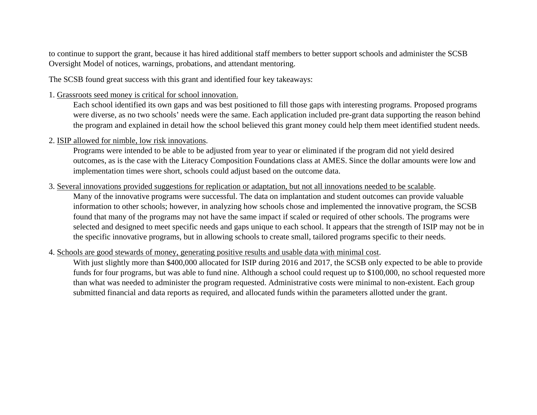to continue to support the grant, because it has hired additional staff members to better support schools and administer the SCSB Oversight Model of notices, warnings, probations, and attendant mentoring.

The SCSB found great success with this grant and identified four key takeaways:

1. Grassroots seed money is critical for school innovation.

Each school identified its own gaps and was best positioned to fill those gaps with interesting programs. Proposed programs were diverse, as no two schools' needs were the same. Each application included pre-grant data supporting the reason behind the program and explained in detail how the school believed this grant money could help them meet identified student needs.

2. ISIP allowed for nimble, low risk innovations.

Programs were intended to be able to be adjusted from year to year or eliminated if the program did not yield desired outcomes, as is the case with the Literacy Composition Foundations class at AMES. Since the dollar amounts were low and implementation times were short, schools could adjust based on the outcome data.

3. Several innovations provided suggestions for replication or adaptation, but not all innovations needed to be scalable.

Many of the innovative programs were successful. The data on implantation and student outcomes can provide valuable information to other schools; however, in analyzing how schools chose and implemented the innovative program, the SCSB found that many of the programs may not have the same impact if scaled or required of other schools. The programs were selected and designed to meet specific needs and gaps unique to each school. It appears that the strength of ISIP may not be in the specific innovative programs, but in allowing schools to create small, tailored programs specific to their needs.

## 4. Schools are good stewards of money, generating positive results and usable data with minimal cost.

With just slightly more than \$400,000 allocated for ISIP during 2016 and 2017, the SCSB only expected to be able to provide funds for four programs, but was able to fund nine. Although a school could request up to \$100,000, no school requested more than what was needed to administer the program requested. Administrative costs were minimal to non-existent. Each group submitted financial and data reports as required, and allocated funds within the parameters allotted under the grant.